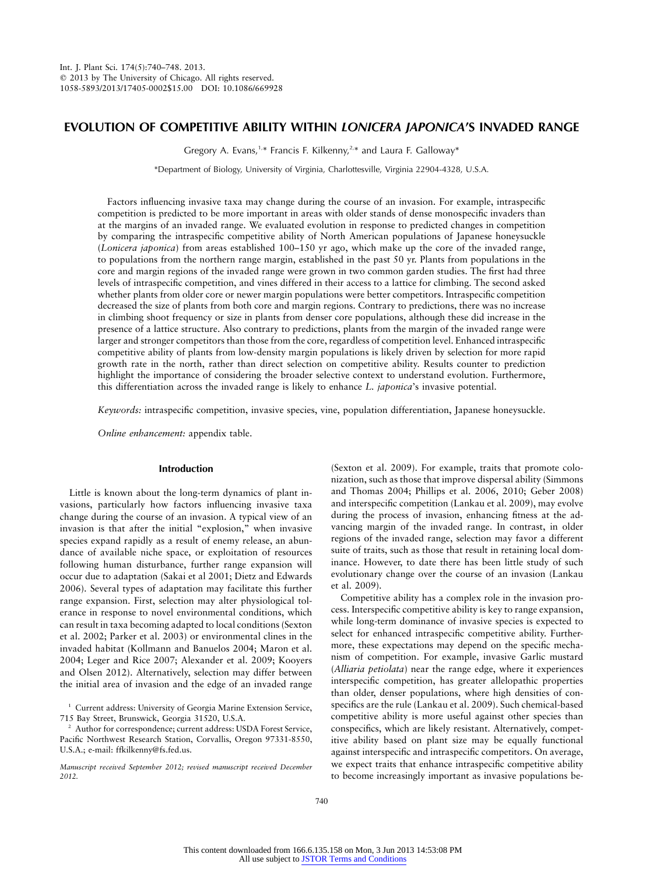# **EVOLUTION OF COMPETITIVE ABILITY WITHIN** *LONICERA JAPONICA***'S INVADED RANGE**

Gregory A. Evans,<sup>1,\*</sup> Francis F. Kilkenny,<sup>2,\*</sup> and Laura F. Galloway\*

\*Department of Biology, University of Virginia, Charlottesville, Virginia 22904-4328, U.S.A.

Factors influencing invasive taxa may change during the course of an invasion. For example, intraspecific competition is predicted to be more important in areas with older stands of dense monospecific invaders than at the margins of an invaded range. We evaluated evolution in response to predicted changes in competition by comparing the intraspecific competitive ability of North American populations of Japanese honeysuckle (*Lonicera japonica*) from areas established 100–150 yr ago, which make up the core of the invaded range, to populations from the northern range margin, established in the past 50 yr. Plants from populations in the core and margin regions of the invaded range were grown in two common garden studies. The first had three levels of intraspecific competition, and vines differed in their access to a lattice for climbing. The second asked whether plants from older core or newer margin populations were better competitors. Intraspecific competition decreased the size of plants from both core and margin regions. Contrary to predictions, there was no increase in climbing shoot frequency or size in plants from denser core populations, although these did increase in the presence of a lattice structure. Also contrary to predictions, plants from the margin of the invaded range were larger and stronger competitors than those from the core, regardless of competition level. Enhanced intraspecific competitive ability of plants from low-density margin populations is likely driven by selection for more rapid growth rate in the north, rather than direct selection on competitive ability. Results counter to prediction highlight the importance of considering the broader selective context to understand evolution. Furthermore, this differentiation across the invaded range is likely to enhance *L. japonica*'s invasive potential.

*Keywords:* intraspecific competition, invasive species, vine, population differentiation, Japanese honeysuckle.

*Online enhancement:* appendix table.

#### **Introduction**

Little is known about the long-term dynamics of plant invasions, particularly how factors influencing invasive taxa change during the course of an invasion. A typical view of an invasion is that after the initial "explosion," when invasive species expand rapidly as a result of enemy release, an abundance of available niche space, or exploitation of resources following human disturbance, further range expansion will occur due to adaptation (Sakai et al 2001; Dietz and Edwards 2006). Several types of adaptation may facilitate this further range expansion. First, selection may alter physiological tolerance in response to novel environmental conditions, which can result in taxa becoming adapted to local conditions (Sexton et al. 2002; Parker et al. 2003) or environmental clines in the invaded habitat (Kollmann and Banuelos 2004; Maron et al. 2004; Leger and Rice 2007; Alexander et al. 2009; Kooyers and Olsen 2012). Alternatively, selection may differ between the initial area of invasion and the edge of an invaded range

<sup>1</sup> Current address: University of Georgia Marine Extension Service, 715 Bay Street, Brunswick, Georgia 31520, U.S.A.

<sup>2</sup> Author for correspondence; current address: USDA Forest Service, Pacific Northwest Research Station, Corvallis, Oregon 97331-8550, U.S.A.; e-mail: ffkilkenny@fs.fed.us.

(Sexton et al. 2009). For example, traits that promote colonization, such as those that improve dispersal ability (Simmons and Thomas 2004; Phillips et al. 2006, 2010; Geber 2008) and interspecific competition (Lankau et al. 2009), may evolve during the process of invasion, enhancing fitness at the advancing margin of the invaded range. In contrast, in older regions of the invaded range, selection may favor a different suite of traits, such as those that result in retaining local dominance. However, to date there has been little study of such evolutionary change over the course of an invasion (Lankau et al. 2009).

Competitive ability has a complex role in the invasion process. Interspecific competitive ability is key to range expansion, while long-term dominance of invasive species is expected to select for enhanced intraspecific competitive ability. Furthermore, these expectations may depend on the specific mechanism of competition. For example, invasive Garlic mustard (*Alliaria petiolata*) near the range edge, where it experiences interspecific competition, has greater allelopathic properties than older, denser populations, where high densities of conspecifics are the rule (Lankau et al. 2009). Such chemical-based competitive ability is more useful against other species than conspecifics, which are likely resistant. Alternatively, competitive ability based on plant size may be equally functional against interspecific and intraspecific competitors. On average, we expect traits that enhance intraspecific competitive ability to become increasingly important as invasive populations be-

*Manuscript received September 2012; revised manuscript received December 2012.*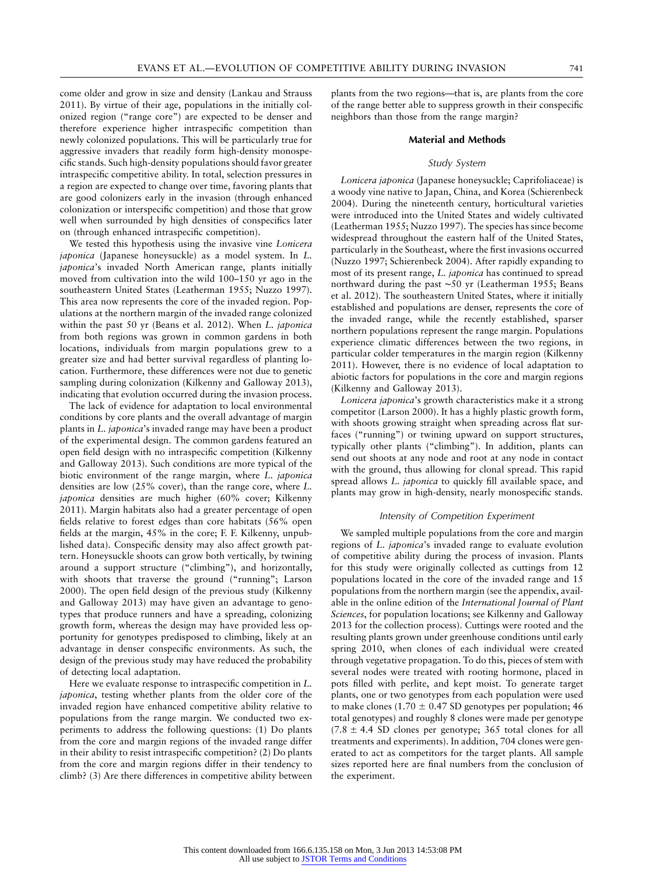come older and grow in size and density (Lankau and Strauss 2011). By virtue of their age, populations in the initially colonized region ("range core") are expected to be denser and therefore experience higher intraspecific competition than newly colonized populations. This will be particularly true for aggressive invaders that readily form high-density monospecific stands. Such high-density populations should favor greater intraspecific competitive ability. In total, selection pressures in a region are expected to change over time, favoring plants that are good colonizers early in the invasion (through enhanced colonization or interspecific competition) and those that grow well when surrounded by high densities of conspecifics later on (through enhanced intraspecific competition).

We tested this hypothesis using the invasive vine *Lonicera japonica* (Japanese honeysuckle) as a model system. In *L. japonica*'s invaded North American range, plants initially moved from cultivation into the wild 100–150 yr ago in the southeastern United States (Leatherman 1955; Nuzzo 1997). This area now represents the core of the invaded region. Populations at the northern margin of the invaded range colonized within the past 50 yr (Beans et al. 2012). When *L. japonica* from both regions was grown in common gardens in both locations, individuals from margin populations grew to a greater size and had better survival regardless of planting location. Furthermore, these differences were not due to genetic sampling during colonization (Kilkenny and Galloway 2013), indicating that evolution occurred during the invasion process.

The lack of evidence for adaptation to local environmental conditions by core plants and the overall advantage of margin plants in *L. japonica*'s invaded range may have been a product of the experimental design. The common gardens featured an open field design with no intraspecific competition (Kilkenny and Galloway 2013). Such conditions are more typical of the biotic environment of the range margin, where *L. japonica* densities are low (25% cover), than the range core, where *L. japonica* densities are much higher (60% cover; Kilkenny 2011). Margin habitats also had a greater percentage of open fields relative to forest edges than core habitats (56% open fields at the margin, 45% in the core; F. F. Kilkenny, unpublished data). Conspecific density may also affect growth pattern. Honeysuckle shoots can grow both vertically, by twining around a support structure ("climbing"), and horizontally, with shoots that traverse the ground ("running"; Larson 2000). The open field design of the previous study (Kilkenny and Galloway 2013) may have given an advantage to genotypes that produce runners and have a spreading, colonizing growth form, whereas the design may have provided less opportunity for genotypes predisposed to climbing, likely at an advantage in denser conspecific environments. As such, the design of the previous study may have reduced the probability of detecting local adaptation.

Here we evaluate response to intraspecific competition in *L. japonica*, testing whether plants from the older core of the invaded region have enhanced competitive ability relative to populations from the range margin. We conducted two experiments to address the following questions: (1) Do plants from the core and margin regions of the invaded range differ in their ability to resist intraspecific competition? (2) Do plants from the core and margin regions differ in their tendency to climb? (3) Are there differences in competitive ability between

plants from the two regions—that is, are plants from the core of the range better able to suppress growth in their conspecific neighbors than those from the range margin?

#### **Material and Methods**

## *Study System*

*Lonicera japonica* (Japanese honeysuckle; Caprifoliaceae) is a woody vine native to Japan, China, and Korea (Schierenbeck 2004). During the nineteenth century, horticultural varieties were introduced into the United States and widely cultivated (Leatherman 1955; Nuzzo 1997). The species has since become widespread throughout the eastern half of the United States, particularly in the Southeast, where the first invasions occurred (Nuzzo 1997; Schierenbeck 2004). After rapidly expanding to most of its present range, *L. japonica* has continued to spread northward during the past ∼50 yr (Leatherman 1955; Beans et al. 2012). The southeastern United States, where it initially established and populations are denser, represents the core of the invaded range, while the recently established, sparser northern populations represent the range margin. Populations experience climatic differences between the two regions, in particular colder temperatures in the margin region (Kilkenny 2011). However, there is no evidence of local adaptation to abiotic factors for populations in the core and margin regions (Kilkenny and Galloway 2013).

*Lonicera japonica*'s growth characteristics make it a strong competitor (Larson 2000). It has a highly plastic growth form, with shoots growing straight when spreading across flat surfaces ("running") or twining upward on support structures, typically other plants ("climbing"). In addition, plants can send out shoots at any node and root at any node in contact with the ground, thus allowing for clonal spread. This rapid spread allows *L. japonica* to quickly fill available space, and plants may grow in high-density, nearly monospecific stands.

#### *Intensity of Competition Experiment*

We sampled multiple populations from the core and margin regions of *L. japonica*'s invaded range to evaluate evolution of competitive ability during the process of invasion. Plants for this study were originally collected as cuttings from 12 populations located in the core of the invaded range and 15 populations from the northern margin (see the appendix, available in the online edition of the *International Journal of Plant Sciences*, for population locations; see Kilkenny and Galloway 2013 for the collection process). Cuttings were rooted and the resulting plants grown under greenhouse conditions until early spring 2010, when clones of each individual were created through vegetative propagation. To do this, pieces of stem with several nodes were treated with rooting hormone, placed in pots filled with perlite, and kept moist. To generate target plants, one or two genotypes from each population were used to make clones (1.70  $\pm$  0.47 SD genotypes per population; 46 total genotypes) and roughly 8 clones were made per genotype  $(7.8 \pm 4.4$  SD clones per genotype; 365 total clones for all treatments and experiments). In addition, 704 clones were generated to act as competitors for the target plants. All sample sizes reported here are final numbers from the conclusion of the experiment.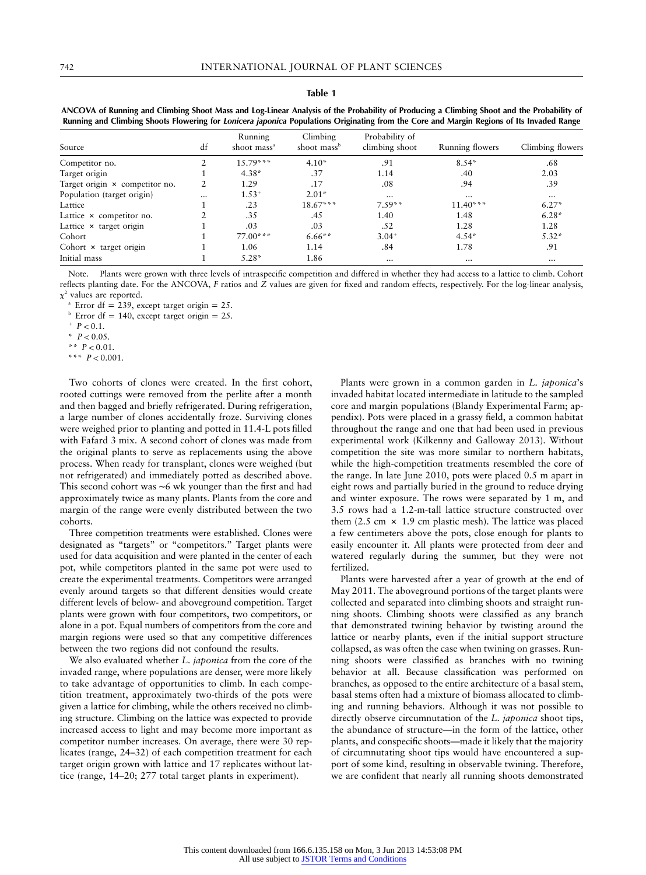| Running and Climbing Shoots Flowering for Lonicera japonica Populations Originating from the Core and Margin Regions of Its Invaded Range |    |                                    |                                     |                                  |                 |                  |  |  |  |
|-------------------------------------------------------------------------------------------------------------------------------------------|----|------------------------------------|-------------------------------------|----------------------------------|-----------------|------------------|--|--|--|
| Source                                                                                                                                    | df | Running<br>shoot mass <sup>a</sup> | Climbing<br>shoot mass <sup>b</sup> | Probability of<br>climbing shoot | Running flowers | Climbing flowers |  |  |  |
| Competitor no.                                                                                                                            |    | $15.79***$                         | $4.10*$                             | .91                              | $8.54*$         | .68              |  |  |  |
| Target origin                                                                                                                             |    | $4.38*$                            | .37                                 | 1.14                             | .40             | 2.03             |  |  |  |
| Target origin $\times$ competitor no.                                                                                                     | 2  | 1.29                               | .17                                 | .08                              | .94             | .39              |  |  |  |
| Population (target origin)                                                                                                                |    | $1.53^{+}$                         | $2.01*$                             | $\cdots$                         | $\cdots$        | $\cdots$         |  |  |  |
| Lattice                                                                                                                                   |    | .23                                | $18.67***$                          | $7.59**$                         | $11.40***$      | $6.27*$          |  |  |  |
| Lattice x competitor no.                                                                                                                  |    | .35                                | .45                                 | 1.40                             | 1.48            | $6.28*$          |  |  |  |
| Lattice $\times$ target origin                                                                                                            |    | .03                                | .03                                 | .52                              | 1.28            | 1.28             |  |  |  |
| Cohort                                                                                                                                    |    | $77.00***$                         | $6.66***$                           | $3.04^{+}$                       | $4.54*$         | $5.32*$          |  |  |  |
| Cohort $\times$ target origin                                                                                                             |    | 1.06                               | 1.14                                | .84                              | 1.78            | .91              |  |  |  |
| Initial mass                                                                                                                              |    | $5.28*$                            | 1.86                                | $\cdots$                         | $\cdots$        | $\cdots$         |  |  |  |

| ANCOVA of Running and Climbing Shoot Mass and Log-Linear Analysis of the Probability of Producing a Climbing Shoot and the Probability of |  |  |
|-------------------------------------------------------------------------------------------------------------------------------------------|--|--|
| Running and Climbing Shoots Flowering for Lonicera japonica Populations Originating from the Core and Margin Regions of Its Invaded Range |  |  |

**Table 1**

Note. Plants were grown with three levels of intraspecific competition and differed in whether they had access to a lattice to climb. Cohort reflects planting date. For the ANCOVA, *F* ratios and *Z* values are given for fixed and random effects, respectively. For the log-linear analysis,  $\chi^2$  values are reported.

<sup>a</sup> Error df = 239, except target origin = 25.

<sup>b</sup> Error df = 140, except target origin = 25.

 $^+$   $P < 0.1$ .

 $*$   $P < 0.05$ .

\*\*  $P < 0.01$ .

\*\*\*  $P < 0.001$ .

Two cohorts of clones were created. In the first cohort, rooted cuttings were removed from the perlite after a month and then bagged and briefly refrigerated. During refrigeration, a large number of clones accidentally froze. Surviving clones were weighed prior to planting and potted in 11.4-L pots filled with Fafard 3 mix. A second cohort of clones was made from the original plants to serve as replacements using the above process. When ready for transplant, clones were weighed (but not refrigerated) and immediately potted as described above. This second cohort was ∼6 wk younger than the first and had approximately twice as many plants. Plants from the core and margin of the range were evenly distributed between the two cohorts.

Three competition treatments were established. Clones were designated as "targets" or "competitors." Target plants were used for data acquisition and were planted in the center of each pot, while competitors planted in the same pot were used to create the experimental treatments. Competitors were arranged evenly around targets so that different densities would create different levels of below- and aboveground competition. Target plants were grown with four competitors, two competitors, or alone in a pot. Equal numbers of competitors from the core and margin regions were used so that any competitive differences between the two regions did not confound the results.

We also evaluated whether *L. japonica* from the core of the invaded range, where populations are denser, were more likely to take advantage of opportunities to climb. In each competition treatment, approximately two-thirds of the pots were given a lattice for climbing, while the others received no climbing structure. Climbing on the lattice was expected to provide increased access to light and may become more important as competitor number increases. On average, there were 30 replicates (range, 24–32) of each competition treatment for each target origin grown with lattice and 17 replicates without lattice (range, 14–20; 277 total target plants in experiment).

Plants were grown in a common garden in *L. japonica*'s invaded habitat located intermediate in latitude to the sampled core and margin populations (Blandy Experimental Farm; appendix). Pots were placed in a grassy field, a common habitat throughout the range and one that had been used in previous experimental work (Kilkenny and Galloway 2013). Without competition the site was more similar to northern habitats, while the high-competition treatments resembled the core of the range. In late June 2010, pots were placed 0.5 m apart in eight rows and partially buried in the ground to reduce drying and winter exposure. The rows were separated by 1 m, and 3.5 rows had a 1.2-m-tall lattice structure constructed over them  $(2.5 \text{ cm} \times 1.9 \text{ cm} \text{ plastic mesh})$ . The lattice was placed a few centimeters above the pots, close enough for plants to easily encounter it. All plants were protected from deer and watered regularly during the summer, but they were not fertilized.

Plants were harvested after a year of growth at the end of May 2011. The aboveground portions of the target plants were collected and separated into climbing shoots and straight running shoots. Climbing shoots were classified as any branch that demonstrated twining behavior by twisting around the lattice or nearby plants, even if the initial support structure collapsed, as was often the case when twining on grasses. Running shoots were classified as branches with no twining behavior at all. Because classification was performed on branches, as opposed to the entire architecture of a basal stem, basal stems often had a mixture of biomass allocated to climbing and running behaviors. Although it was not possible to directly observe circumnutation of the *L. japonica* shoot tips, the abundance of structure—in the form of the lattice, other plants, and conspecific shoots—made it likely that the majority of circumnutating shoot tips would have encountered a support of some kind, resulting in observable twining. Therefore, we are confident that nearly all running shoots demonstrated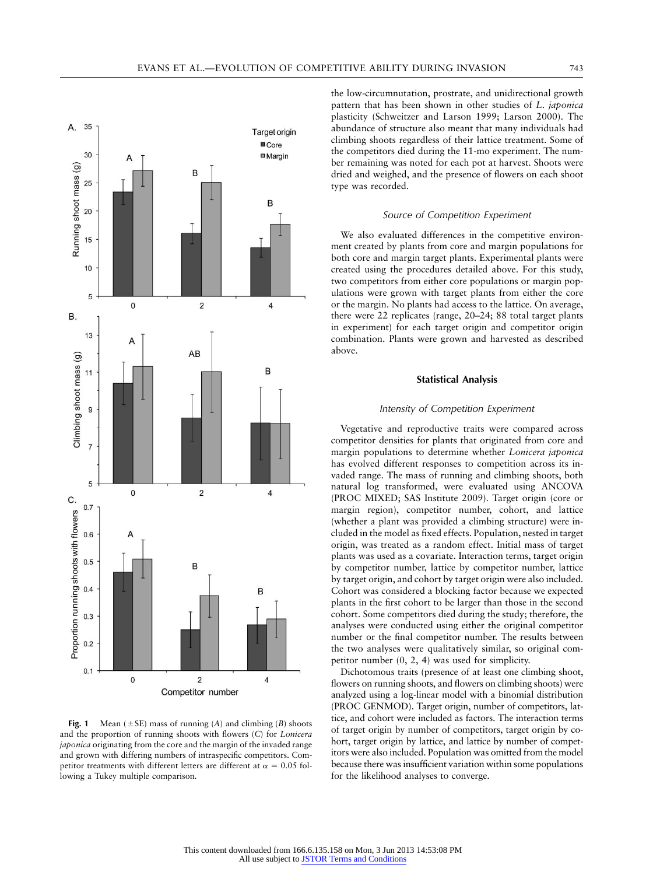

**Fig. 1** Mean ( $\pm$  SE) mass of running (*A*) and climbing (*B*) shoots and the proportion of running shoots with flowers (*C*) for *Lonicera japonica* originating from the core and the margin of the invaded range and grown with differing numbers of intraspecific competitors. Competitor treatments with different letters are different at  $\alpha = 0.05$  following a Tukey multiple comparison.

the low-circumnutation, prostrate, and unidirectional growth pattern that has been shown in other studies of *L. japonica* plasticity (Schweitzer and Larson 1999; Larson 2000). The abundance of structure also meant that many individuals had climbing shoots regardless of their lattice treatment. Some of the competitors died during the 11-mo experiment. The number remaining was noted for each pot at harvest. Shoots were dried and weighed, and the presence of flowers on each shoot type was recorded.

#### *Source of Competition Experiment*

We also evaluated differences in the competitive environment created by plants from core and margin populations for both core and margin target plants. Experimental plants were created using the procedures detailed above. For this study, two competitors from either core populations or margin populations were grown with target plants from either the core or the margin. No plants had access to the lattice. On average, there were 22 replicates (range, 20–24; 88 total target plants in experiment) for each target origin and competitor origin combination. Plants were grown and harvested as described above.

## **Statistical Analysis**

## *Intensity of Competition Experiment*

Vegetative and reproductive traits were compared across competitor densities for plants that originated from core and margin populations to determine whether *Lonicera japonica* has evolved different responses to competition across its invaded range. The mass of running and climbing shoots, both natural log transformed, were evaluated using ANCOVA (PROC MIXED; SAS Institute 2009). Target origin (core or margin region), competitor number, cohort, and lattice (whether a plant was provided a climbing structure) were included in the model as fixed effects. Population, nested in target origin, was treated as a random effect. Initial mass of target plants was used as a covariate. Interaction terms, target origin by competitor number, lattice by competitor number, lattice by target origin, and cohort by target origin were also included. Cohort was considered a blocking factor because we expected plants in the first cohort to be larger than those in the second cohort. Some competitors died during the study; therefore, the analyses were conducted using either the original competitor number or the final competitor number. The results between the two analyses were qualitatively similar, so original competitor number (0, 2, 4) was used for simplicity.

Dichotomous traits (presence of at least one climbing shoot, flowers on running shoots, and flowers on climbing shoots) were analyzed using a log-linear model with a binomial distribution (PROC GENMOD). Target origin, number of competitors, lattice, and cohort were included as factors. The interaction terms of target origin by number of competitors, target origin by cohort, target origin by lattice, and lattice by number of competitors were also included. Population was omitted from the model because there was insufficient variation within some populations for the likelihood analyses to converge.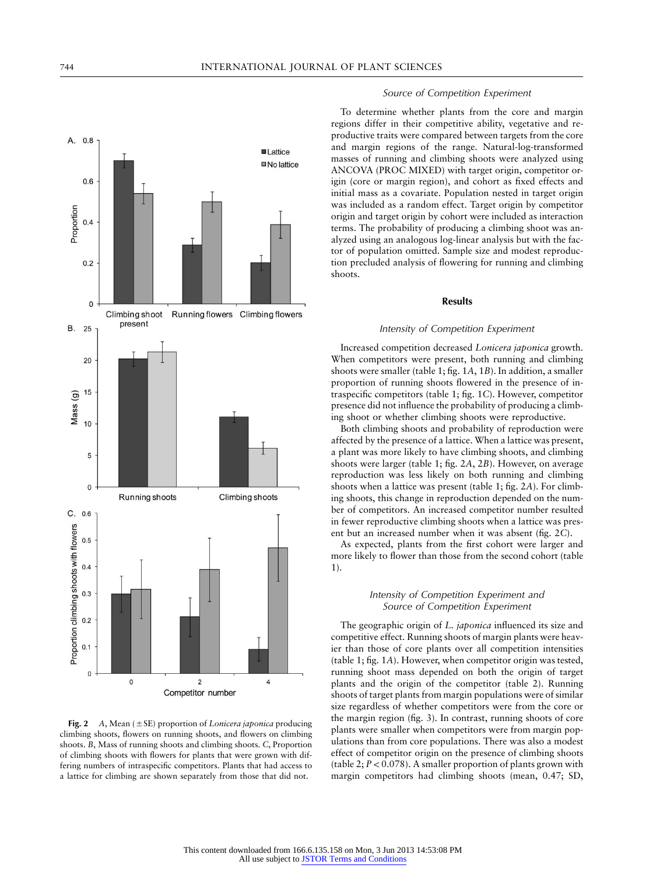

**Fig. 2** *A*, Mean ( $\pm$ SE) proportion of *Lonicera japonica* producing climbing shoots, flowers on running shoots, and flowers on climbing shoots. *B*, Mass of running shoots and climbing shoots. *C*, Proportion of climbing shoots with flowers for plants that were grown with differing numbers of intraspecific competitors. Plants that had access to a lattice for climbing are shown separately from those that did not.

## *Source of Competition Experiment*

To determine whether plants from the core and margin regions differ in their competitive ability, vegetative and reproductive traits were compared between targets from the core and margin regions of the range. Natural-log-transformed masses of running and climbing shoots were analyzed using ANCOVA (PROC MIXED) with target origin, competitor origin (core or margin region), and cohort as fixed effects and initial mass as a covariate. Population nested in target origin was included as a random effect. Target origin by competitor origin and target origin by cohort were included as interaction terms. The probability of producing a climbing shoot was analyzed using an analogous log-linear analysis but with the factor of population omitted. Sample size and modest reproduction precluded analysis of flowering for running and climbing shoots.

## **Results**

#### *Intensity of Competition Experiment*

Increased competition decreased *Lonicera japonica* growth. When competitors were present, both running and climbing shoots were smaller (table 1; fig. 1*A*, 1*B*). In addition, a smaller proportion of running shoots flowered in the presence of intraspecific competitors (table 1; fig. 1*C*). However, competitor presence did not influence the probability of producing a climbing shoot or whether climbing shoots were reproductive.

Both climbing shoots and probability of reproduction were affected by the presence of a lattice. When a lattice was present, a plant was more likely to have climbing shoots, and climbing shoots were larger (table 1; fig. 2*A*, 2*B*). However, on average reproduction was less likely on both running and climbing shoots when a lattice was present (table 1; fig. 2*A*). For climbing shoots, this change in reproduction depended on the number of competitors. An increased competitor number resulted in fewer reproductive climbing shoots when a lattice was present but an increased number when it was absent (fig. 2*C*).

As expected, plants from the first cohort were larger and more likely to flower than those from the second cohort (table 1).

## *Intensity of Competition Experiment and Source of Competition Experiment*

The geographic origin of *L. japonica* influenced its size and competitive effect. Running shoots of margin plants were heavier than those of core plants over all competition intensities (table 1; fig. 1*A*). However, when competitor origin was tested, running shoot mass depended on both the origin of target plants and the origin of the competitor (table 2). Running shoots of target plants from margin populations were of similar size regardless of whether competitors were from the core or the margin region (fig. 3). In contrast, running shoots of core plants were smaller when competitors were from margin populations than from core populations. There was also a modest effect of competitor origin on the presence of climbing shoots (table  $2$ ;  $P < 0.078$ ). A smaller proportion of plants grown with margin competitors had climbing shoots (mean, 0.47; SD,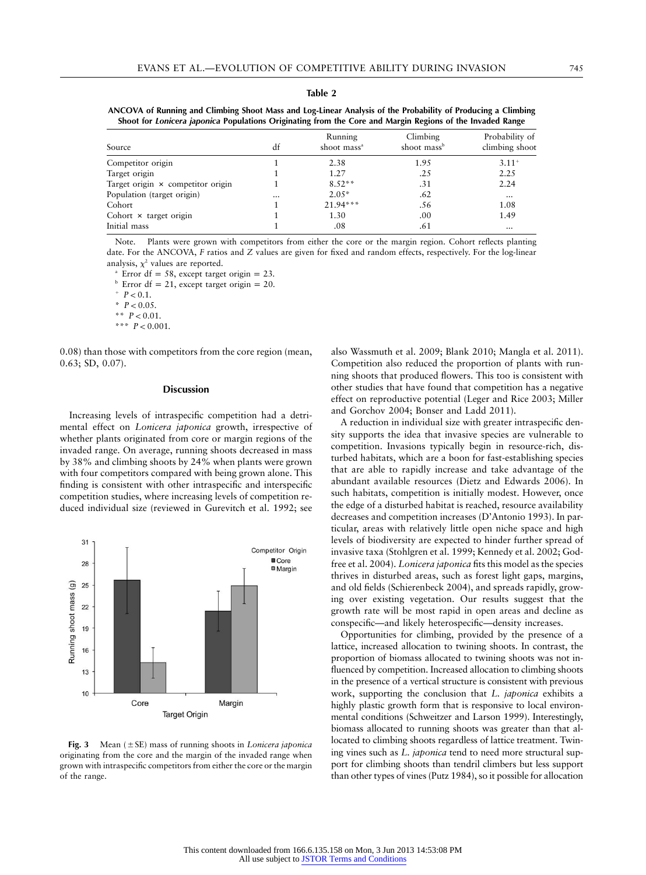#### **Table 2**

**ANCOVA of Running and Climbing Shoot Mass and Log-Linear Analysis of the Probability of Producing a Climbing Shoot for** *Lonicera japonica* **Populations Originating from the Core and Margin Regions of the Invaded Range**

| Source                            | df       | Running<br>shoot mass <sup>a</sup> | Climbing<br>shoot mass <sup>b</sup> | Probability of<br>climbing shoot |
|-----------------------------------|----------|------------------------------------|-------------------------------------|----------------------------------|
| Competitor origin                 |          | 2.38                               | 1.95                                | $3.11^{+}$                       |
| Target origin                     |          | 1.27                               | .25                                 | 2.25                             |
| Target origin × competitor origin |          | $8.52**$                           | .31                                 | 2.24                             |
| Population (target origin)        | $\cdots$ | $2.05*$                            | .62                                 | $\cdots$                         |
| Cohort                            |          | $21.94***$                         | .56                                 | 1.08                             |
| Cohort $\times$ target origin     |          | 1.30                               | .00                                 | 1.49                             |
| Initial mass                      |          | .08                                | .61                                 | $\cdots$                         |

Note. Plants were grown with competitors from either the core or the margin region. Cohort reflects planting date. For the ANCOVA, *F* ratios and *Z* values are given for fixed and random effects, respectively. For the log-linear analysis,  $\chi^2$  values are reported.

<sup>a</sup> Error df = 58, except target origin = 23.

 $b$  Error df = 21, except target origin = 20.

\*\*  $P < 0.01$ .

\*\*\*  $P < 0.001$ .

0.08) than those with competitors from the core region (mean, 0.63; SD, 0.07).

## **Discussion**

Increasing levels of intraspecific competition had a detrimental effect on *Lonicera japonica* growth, irrespective of whether plants originated from core or margin regions of the invaded range. On average, running shoots decreased in mass by 38% and climbing shoots by 24% when plants were grown with four competitors compared with being grown alone. This finding is consistent with other intraspecific and interspecific competition studies, where increasing levels of competition reduced individual size (reviewed in Gurevitch et al. 1992; see



Fig. 3 Mean (±SE) mass of running shoots in *Lonicera japonica* originating from the core and the margin of the invaded range when grown with intraspecific competitors from either the core or the margin of the range.

also Wassmuth et al. 2009; Blank 2010; Mangla et al. 2011). Competition also reduced the proportion of plants with running shoots that produced flowers. This too is consistent with other studies that have found that competition has a negative effect on reproductive potential (Leger and Rice 2003; Miller and Gorchov 2004; Bonser and Ladd 2011).

A reduction in individual size with greater intraspecific density supports the idea that invasive species are vulnerable to competition. Invasions typically begin in resource-rich, disturbed habitats, which are a boon for fast-establishing species that are able to rapidly increase and take advantage of the abundant available resources (Dietz and Edwards 2006). In such habitats, competition is initially modest. However, once the edge of a disturbed habitat is reached, resource availability decreases and competition increases (D'Antonio 1993). In particular, areas with relatively little open niche space and high levels of biodiversity are expected to hinder further spread of invasive taxa (Stohlgren et al. 1999; Kennedy et al. 2002; Godfree et al. 2004). *Lonicera japonica* fits this model as the species thrives in disturbed areas, such as forest light gaps, margins, and old fields (Schierenbeck 2004), and spreads rapidly, growing over existing vegetation. Our results suggest that the growth rate will be most rapid in open areas and decline as conspecific—and likely heterospecific—density increases.

Opportunities for climbing, provided by the presence of a lattice, increased allocation to twining shoots. In contrast, the proportion of biomass allocated to twining shoots was not influenced by competition. Increased allocation to climbing shoots in the presence of a vertical structure is consistent with previous work, supporting the conclusion that *L. japonica* exhibits a highly plastic growth form that is responsive to local environmental conditions (Schweitzer and Larson 1999). Interestingly, biomass allocated to running shoots was greater than that allocated to climbing shoots regardless of lattice treatment. Twining vines such as *L. japonica* tend to need more structural support for climbing shoots than tendril climbers but less support than other types of vines (Putz 1984), so it possible for allocation

 $^+$   $P < 0.1$ .

<sup>\*</sup>  $P < 0.05$ .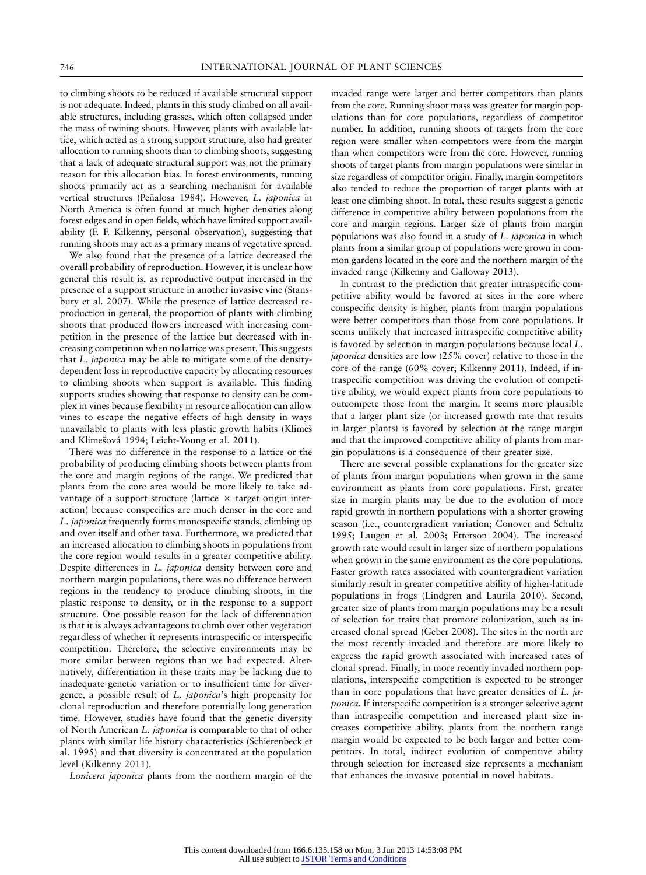to climbing shoots to be reduced if available structural support is not adequate. Indeed, plants in this study climbed on all available structures, including grasses, which often collapsed under the mass of twining shoots. However, plants with available lattice, which acted as a strong support structure, also had greater allocation to running shoots than to climbing shoots, suggesting that a lack of adequate structural support was not the primary reason for this allocation bias. In forest environments, running shoots primarily act as a searching mechanism for available vertical structures (Peñalosa 1984). However, *L. japonica* in North America is often found at much higher densities along forest edges and in open fields, which have limited support availability (F. F. Kilkenny, personal observation), suggesting that running shoots may act as a primary means of vegetative spread.

We also found that the presence of a lattice decreased the overall probability of reproduction. However, it is unclear how general this result is, as reproductive output increased in the presence of a support structure in another invasive vine (Stansbury et al. 2007). While the presence of lattice decreased reproduction in general, the proportion of plants with climbing shoots that produced flowers increased with increasing competition in the presence of the lattice but decreased with increasing competition when no lattice was present. This suggests that *L. japonica* may be able to mitigate some of the densitydependent loss in reproductive capacity by allocating resources to climbing shoots when support is available. This finding supports studies showing that response to density can be complex in vines because flexibility in resource allocation can allow vines to escape the negative effects of high density in ways unavailable to plants with less plastic growth habits (Klimeš and Klimešová 1994; Leicht-Young et al. 2011).

There was no difference in the response to a lattice or the probability of producing climbing shoots between plants from the core and margin regions of the range. We predicted that plants from the core area would be more likely to take advantage of a support structure (lattice  $\times$  target origin interaction) because conspecifics are much denser in the core and *L. japonica* frequently forms monospecific stands, climbing up and over itself and other taxa. Furthermore, we predicted that an increased allocation to climbing shoots in populations from the core region would results in a greater competitive ability. Despite differences in *L. japonica* density between core and northern margin populations, there was no difference between regions in the tendency to produce climbing shoots, in the plastic response to density, or in the response to a support structure. One possible reason for the lack of differentiation is that it is always advantageous to climb over other vegetation regardless of whether it represents intraspecific or interspecific competition. Therefore, the selective environments may be more similar between regions than we had expected. Alternatively, differentiation in these traits may be lacking due to inadequate genetic variation or to insufficient time for divergence, a possible result of *L. japonica*'s high propensity for clonal reproduction and therefore potentially long generation time. However, studies have found that the genetic diversity of North American *L. japonica* is comparable to that of other plants with similar life history characteristics (Schierenbeck et al. 1995) and that diversity is concentrated at the population level (Kilkenny 2011).

*Lonicera japonica* plants from the northern margin of the

invaded range were larger and better competitors than plants from the core. Running shoot mass was greater for margin populations than for core populations, regardless of competitor number. In addition, running shoots of targets from the core region were smaller when competitors were from the margin than when competitors were from the core. However, running shoots of target plants from margin populations were similar in size regardless of competitor origin. Finally, margin competitors also tended to reduce the proportion of target plants with at least one climbing shoot. In total, these results suggest a genetic difference in competitive ability between populations from the core and margin regions. Larger size of plants from margin populations was also found in a study of *L. japonica* in which plants from a similar group of populations were grown in common gardens located in the core and the northern margin of the invaded range (Kilkenny and Galloway 2013).

In contrast to the prediction that greater intraspecific competitive ability would be favored at sites in the core where conspecific density is higher, plants from margin populations were better competitors than those from core populations. It seems unlikely that increased intraspecific competitive ability is favored by selection in margin populations because local *L. japonica* densities are low (25% cover) relative to those in the core of the range (60% cover; Kilkenny 2011). Indeed, if intraspecific competition was driving the evolution of competitive ability, we would expect plants from core populations to outcompete those from the margin. It seems more plausible that a larger plant size (or increased growth rate that results in larger plants) is favored by selection at the range margin and that the improved competitive ability of plants from margin populations is a consequence of their greater size.

There are several possible explanations for the greater size of plants from margin populations when grown in the same environment as plants from core populations. First, greater size in margin plants may be due to the evolution of more rapid growth in northern populations with a shorter growing season (i.e., countergradient variation; Conover and Schultz 1995; Laugen et al. 2003; Etterson 2004). The increased growth rate would result in larger size of northern populations when grown in the same environment as the core populations. Faster growth rates associated with countergradient variation similarly result in greater competitive ability of higher-latitude populations in frogs (Lindgren and Laurila 2010). Second, greater size of plants from margin populations may be a result of selection for traits that promote colonization, such as increased clonal spread (Geber 2008). The sites in the north are the most recently invaded and therefore are more likely to express the rapid growth associated with increased rates of clonal spread. Finally, in more recently invaded northern populations, interspecific competition is expected to be stronger than in core populations that have greater densities of *L. japonica*. If interspecific competition is a stronger selective agent than intraspecific competition and increased plant size increases competitive ability, plants from the northern range margin would be expected to be both larger and better competitors. In total, indirect evolution of competitive ability through selection for increased size represents a mechanism that enhances the invasive potential in novel habitats.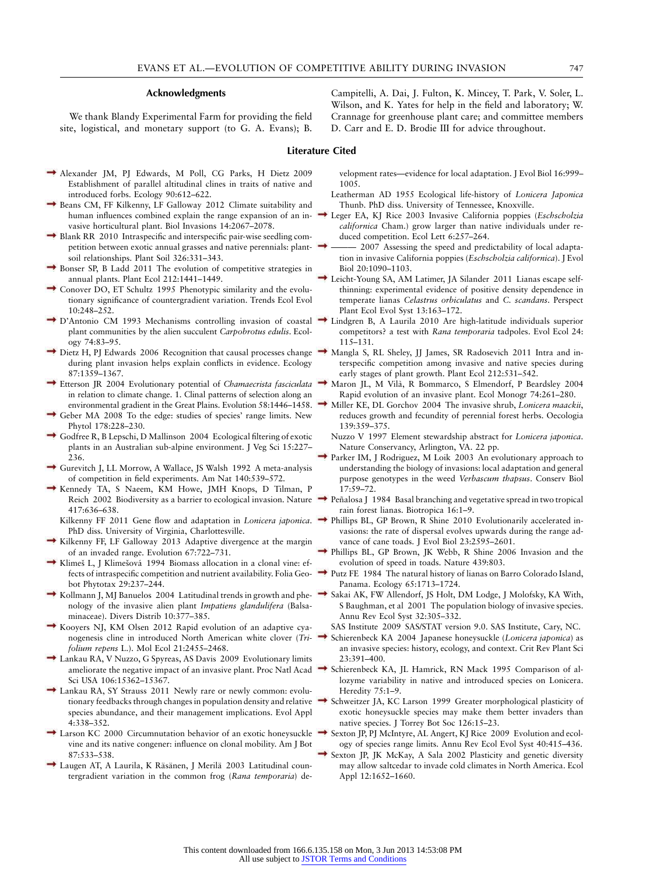## **Acknowledgments**

We thank Blandy Experimental Farm for providing the field site, logistical, and monetary support (to G. A. Evans); B.

**Literature Cited**

- Alexander JM, PJ Edwards, M Poll, CG Parks, H Dietz 2009 Establishment of parallel altitudinal clines in traits of native and introduced forbs. Ecology 90:612–622.
- Beans CM, FF Kilkenny, LF Galloway 2012 Climate suitability and human influences combined explain the range expansion of an invasive horticultural plant. Biol Invasions 14:2067–2078.
- Blank RR 2010 Intraspecific and interspecific pair-wise seedling competition between exotic annual grasses and native perennials: plantsoil relationships. Plant Soil 326:331–343.
- Bonser SP, B Ladd 2011 The evolution of competitive strategies in annual plants. Plant Ecol 212:1441–1449.
- Conover DO, ET Schultz 1995 Phenotypic similarity and the evolutionary significance of countergradient variation. Trends Ecol Evol 10:248–252.
- plant communities by the alien succulent *Carpobrotus edulis*. Ecology 74:83–95.
- → Dietz H, PJ Edwards 2006 Recognition that causal processes change during plant invasion helps explain conflicts in evidence. Ecology 87:1359–1367.
- Etterson JR 2004 Evolutionary potential of *Chamaecrista fasciculata* in relation to climate change. 1. Clinal patterns of selection along an environmental gradient in the Great Plains. Evolution 58:1446–1458.
- Geber MA 2008 To the edge: studies of species' range limits. New Phytol 178:228–230.
- Godfree R, B Lepschi, D Mallinson 2004 Ecological filtering of exotic plants in an Australian sub-alpine environment. J Veg Sci 15:227– 236.
- Gurevitch J, LL Morrow, A Wallace, JS Walsh 1992 A meta-analysis of competition in field experiments. Am Nat 140:539–572.
- Kennedy TA, S Naeem, KM Howe, JMH Knops, D Tilman, P Reich 2002 Biodiversity as a barrier to ecological invasion. Nature 417:636–638.
	- Kilkenny FF 2011 Gene flow and adaptation in *Lonicera japonica*. PhD diss. University of Virginia, Charlottesville.
- Kilkenny FF, LF Galloway 2013 Adaptive divergence at the margin of an invaded range. Evolution 67:722–731.
- Klimeš L, J Klimešová 1994 Biomass allocation in a clonal vine: effects of intraspecific competition and nutrient availability. Folia Geobot Phytotax 29:237–244.
- Kollmann J, MJ Banuelos 2004 Latitudinal trends in growth and phenology of the invasive alien plant *Impatiens glandulifera* (Balsaminaceae). Divers Distrib 10:377–385.
- Kooyers NJ, KM Olsen 2012 Rapid evolution of an adaptive cyanogenesis cline in introduced North American white clover (*Trifolium repens* L.). Mol Ecol 21:2455–2468.
- Lankau RA, V Nuzzo, G Spyreas, AS Davis 2009 Evolutionary limits ameliorate the negative impact of an invasive plant. Proc Natl Acad Sci USA 106:15362–15367.
- Lankau RA, SY Strauss 2011 Newly rare or newly common: evolutionary feedbacks through changes in population density and relative species abundance, and their management implications. Evol Appl 4:338–352.
- Larson KC 2000 Circumnutation behavior of an exotic honeysuckle vine and its native congener: influence on clonal mobility. Am J Bot 87:533–538.
- → Laugen AT, A Laurila, K Räsänen, J Merilä 2003 Latitudinal countergradient variation in the common frog (*Rana temporaria*) de-

Campitelli, A. Dai, J. Fulton, K. Mincey, T. Park, V. Soler, L. Wilson, and K. Yates for help in the field and laboratory; W. Crannage for greenhouse plant care; and committee members D. Carr and E. D. Brodie III for advice throughout.

velopment rates—evidence for local adaptation. J Evol Biol 16:999– 1005.

- Leatherman AD 1955 Ecological life-history of *Lonicera Japonica* Thunb. PhD diss. University of Tennessee, Knoxville.
- Leger EA, KJ Rice 2003 Invasive California poppies (*Eschscholzia californica* Cham.) grow larger than native individuals under reduced competition. Ecol Lett 6:257–264.
	- 2007 Assessing the speed and predictability of local adaptation in invasive California poppies (*Eschscholzia californica*). J Evol Biol 20:1090–1103.
	- Leicht-Young SA, AM Latimer, JA Silander 2011 Lianas escape selfthinning: experimental evidence of positive density dependence in temperate lianas *Celastrus orbiculatus* and *C. scandans*. Perspect Plant Ecol Evol Syst 13:163–172.
- D'Antonio CM 1993 Mechanisms controlling invasion of coastal Lindgren B, A Laurila 2010 Are high-latitude individuals superior competitors? a test with *Rana temporaria* tadpoles. Evol Ecol 24: 115–131.
	- Mangla S, RL Sheley, JJ James, SR Radosevich 2011 Intra and interspecific competition among invasive and native species during early stages of plant growth. Plant Ecol 212:531–542.
		- Maron JL, M Vilà, R Bommarco, S Elmendorf, P Beardsley 2004 Rapid evolution of an invasive plant. Ecol Monogr 74:261–280.
		- Miller KE, DL Gorchov 2004 The invasive shrub, *Lonicera maackii*, reduces growth and fecundity of perennial forest herbs. Oecologia 139:359–375.
		- Nuzzo V 1997 Element stewardship abstract for *Lonicera japonica*. Nature Conservancy, Arlington, VA. 22 pp.
	- → Parker IM, J Rodriguez, M Loik 2003 An evolutionary approach to understanding the biology of invasions: local adaptation and general purpose genotypes in the weed *Verbascum thapsus*. Conserv Biol 17:59–72.
	- $\rightarrow$  Peñalosa J 1984 Basal branching and vegetative spread in two tropical rain forest lianas. Biotropica 16:1–9.
	- Phillips BL, GP Brown, R Shine 2010 Evolutionarily accelerated invasions: the rate of dispersal evolves upwards during the range advance of cane toads. J Evol Biol 23:2595–2601.
	- Phillips BL, GP Brown, JK Webb, R Shine 2006 Invasion and the evolution of speed in toads. Nature 439:803.
	- Putz FE 1984 The natural history of lianas on Barro Colorado Island, Panama. Ecology 65:1713–1724.
	- Sakai AK, FW Allendorf, JS Holt, DM Lodge, J Molofsky, KA With, S Baughman, et al 2001 The population biology of invasive species. Annu Rev Ecol Syst 32:305–332.
	- SAS Institute 2009 SAS/STAT version 9.0. SAS Institute, Cary, NC.
	- Schierenbeck KA 2004 Japanese honeysuckle (*Lonicera japonica*) as an invasive species: history, ecology, and context. Crit Rev Plant Sci 23:391–400.
	- Schierenbeck KA, JL Hamrick, RN Mack 1995 Comparison of allozyme variability in native and introduced species on Lonicera. Heredity 75:1–9.
	- Schweitzer JA, KC Larson 1999 Greater morphological plasticity of exotic honeysuckle species may make them better invaders than native species. J Torrey Bot Soc 126:15–23.
	- Sexton JP, PJ McIntyre, AL Angert, KJ Rice 2009 Evolution and ecology of species range limits. Annu Rev Ecol Evol Syst 40:415–436.
	- Sexton JP, JK McKay, A Sala 2002 Plasticity and genetic diversity may allow saltcedar to invade cold climates in North America. Ecol Appl 12:1652–1660.